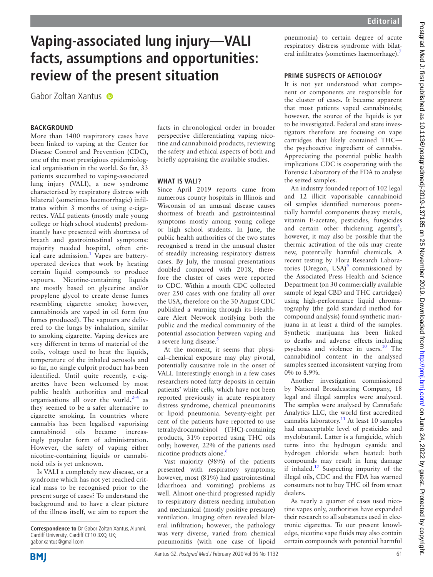# **Vaping-associated lung injury—VALI facts, assumptions and opportunities: review of the present situation**

Gabor Zoltan Xantus

## **BACKGROUND**

More than 1400 respiratory cases have been linked to vaping at the Center for Disease Control and Prevention (CDC), one of the most prestigious epidemiological organisation in the world. So far, 33 patients succumbed to vaping-associated lung injury (VALI), a new syndrome characterised by respiratory distress with bilateral (sometimes haemorrhagic) infiltrates within 3 months of using e-cigarettes. VALI patients (mostly male young college or high school students) predominantly have presented with shortness of breath and gastrointestinal symptoms: majority needed hospital, often crit-ical care admission.<sup>[1](#page-2-0)</sup> Vapes are batteryoperated devices that work by heating certain liquid compounds to produce vapours. Nicotine-containing liquids are mostly based on glycerine and/or propylene glycol to create dense fumes resembling cigarette smoke; however, cannabinoids are vaped in oil form (no fumes produced). The vapours are delivered to the lungs by inhalation, similar to smoking cigarette. Vaping devices are very different in terms of material of the coils, voltage used to heat the liquids, temperature of the inhaled aerosols and so far, no single culprit product has been identified. Until quite recently, e-cigarettes have been welcomed by most public health authorities and medical organisations all over the world, $2-4$  as they seemed to be a safer alternative to cigarette smoking. In countries where cannabis has been legalised vaporising cannabinoid oils became increasingly popular form of administration. However, the safety of vaping either nicotine-containing liquids or cannabinoid oils is yet unknown.

Is VALI a completely new disease, or a syndrome which has not yet reached critical mass to be recognised prior to the present surge of cases? To understand the background and to have a clear picture of the illness itself, we aim to report the facts in chronological order in broader perspective differentiating vaping nicotine and cannabinoid products, reviewing the safety and ethical aspects of both and briefly appraising the available studies.

#### **What is VALI?**

Since April 2019 reports came from numerous county hospitals in Illinois and Wisconsin of an unusual disease causes shortness of breath and gastrointestinal symptoms mostly among young college or high school students. In June, the public health authorities of the two states recognised a trend in the unusual cluster of steadily increasing respiratory distress cases. By July, the unusual presentations doubled compared with 2018, therefore the cluster of cases were reported to CDC. Within a month CDC collected over 250 cases with one fatality all over the USA, therefore on the 30 August CDC published a warning through its Healthcare Alert Network notifying both the public and the medical community of the potential association between vaping and a severe lung disease.<sup>5</sup>

At the moment, it seems that physical–chemical exposure may play pivotal, potentially causative role in the onset of VALI. Interestingly enough in a few cases researchers noted fatty deposits in certain patients' white cells, which have not been reported previously in acute respiratory distress syndrome, chemical pneumonitis or lipoid pneumonia. Seventy-eight per cent of the patients have reported to use tetrahydrocannabinol (THC)-containing products, 31% reported using THC oils only; however, 22% of the patients used nicotine products alone.<sup>[6](#page-2-3)</sup>

Vast majority (98%) of the patients presented with respiratory symptoms; however, most (81%) had gastrointestinal (diarrhoea and vomiting) problems as well. Almost one-third progressed rapidly to respiratory distress needing intubation and mechanical (mostly positive pressure) ventilation. Imaging often revealed bilateral infiltration; however, the pathology was very diverse, varied from chemical pneumonitis (with one case of lipoid

pneumonia) to certain degree of acute respiratory distress syndrome with bilateral infiltrates (sometimes haemorrhage).<sup>7</sup>

## **Prime suspects of aetiology**

It is not yet understood what component or components are responsible for the cluster of cases. It became apparent that most patients vaped cannabinoids; however, the source of the liquids is yet to be investigated. Federal and state investigators therefore are focusing on vape cartridges that likely contained THC the psychoactive ingredient of cannabis. Appreciating the potential public health implications CDC is cooperating with the Forensic Laboratory of the FDA to analyse the seized samples.

An industry founded report of 102 legal and 12 illicit vaporisable cannabinoid oil samples identified numerous potentially harmful components (heavy metals, vitamin E-acetate, pesticides, fungicides and certain other thickening agents) $^{8}$  $^{8}$  $^{8}$ ; however, it may also be possible that the thermic activation of the oils may create new, potentially harmful chemicals. A recent testing by Flora Research Laboratories (Oregon, USA) $^9$  $^9$  commissioned by the Associated Press Health and Science Department (on 30 commercially available sample of legal CBD and THC cartridges) using high-performance liquid chromatography (the gold standard method for compound analysis) found synthetic marijuana in at least a third of the samples. Synthetic marijuana has been linked to deaths and adverse effects including psychosis and violence in users.[10](#page-2-7) The cannabidinol content in the analysed samples seemed inconsistent varying from 0% to 8.9%.

Another investigation commissioned by National Broadcasting Company, 18 legal and illegal samples were analysed. The samples were analysed by CannaSafe Analytics LLC, the world first accredited cannabis laboratory.<sup>[11](#page-2-8)</sup> At least 10 samples had unacceptable level of pesticides and myclobutanil. Latter is a fungicide, which turns into the hydrogen cyanide and hydrogen chloride when heated: both compounds may result in lung damage if inhaled.<sup>[12](#page-2-9)</sup> Suspecting impurity of the illegal oils, CDC and the FDA has warned consumers not to buy THC oil from street dealers.

As nearly a quarter of cases used nicotine vapes only, authorities have expanded their research to all substances used in electronic cigarettes. To our present knowledge, nicotine vape fluids may also contain certain compounds with potential harmful



**Correspondence to** Dr Gabor Zoltan Xantus, Alumni, Cardiff University, Cardiff CF10 3XQ, UK; gabor.xantus@gmail.com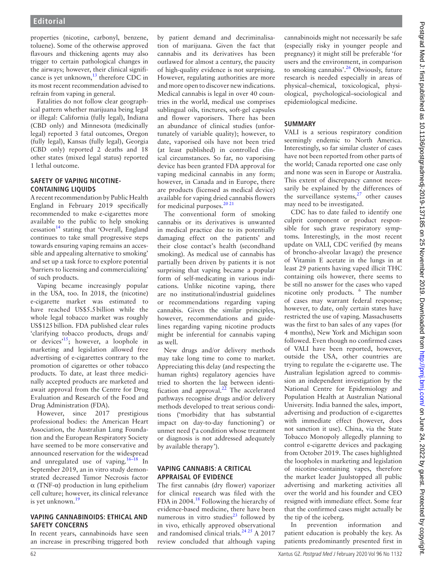properties (nicotine, carbonyl, benzene, toluene). Some of the otherwise approved flavours and thickening agents may also trigger to certain pathological changes in the airways; however, their clinical significance is yet unknown,<sup>13</sup> therefore CDC in its most recent recommendation advised to refrain from vaping in general.

Fatalities do not follow clear geographical pattern whether marijuana being legal or illegal: California (fully legal), Indiana (CBD only) and Minnesota (medicinally legal) reported 3 fatal outcomes, Oregon (fully legal), Kansas (fully legal), Georgia (CBD only) reported 2 deaths and 18 other states (mixed legal status) reported 1 lethal outcome.

# **SAFETY OF VAPING NICOTINEcontaining liquids**

A recent recommendation by Public Health England in February 2019 specifically recommended to make e-cigarettes more available to the public to help smoking  $c$ essation<sup>[14](#page-2-11)</sup> stating that 'Overall, England continues to take small progressive steps towards ensuring vaping remains an accessible and appealing alternative to smoking' and set up a task force to explore potential 'barriers to licensing and commercializing' of such products.

Vaping became increasingly popular in the USA, too. In 2018, the (nicotine) e-cigarette market was estimated to have reached US\$5.5billion while the whole legal tobacco market was roughly US\$125billion. FDA published clear rules 'clarifying tobacco products, drugs and/ or devices<sup> $15$ </sup>; however, a loophole in marketing and legislation allowed free advertising of e-cigarettes contrary to the promotion of cigarettes or other tobacco products. To date, at least three medicinally accepted products are marketed and await approval from the Centre for Drug Evaluation and Research of the Food and Drug Administration (FDA).

However, since 2017 prestigious professional bodies: the American Heart Association, the Australian Lung Foundation and the European Respiratory Society have seemed to be more conservative and announced reservation for the widespread and unregulated use of vaping.<sup>[16–18](#page-2-13)</sup> In September 2019, an in vitro study demonstrated decreased Tumor Necrosis factor α (TNF-α) production in lung epithelium cell culture; however, its clinical relevance is yet unknown.<sup>19</sup>

## **Vaping cannabinoids: ethical and safety concerns**

In recent years, cannabinoids have seen an increase in prescribing triggered both by patient demand and decriminalisation of marijuana. Given the fact that cannabis and its derivatives has been outlawed for almost a century, the paucity of high-quality evidence is not surprising. However, regulating authorities are more and more open to discover new indications. Medical cannabis is legal in over 40 countries in the world, medical use comprises sublingual oils, tinctures, soft-gel capsules and flower vaporisers. There has been an abundance of clinical studies (unfortunately of variable quality); however, to date, vaporised oils have not been tried (at least published) in controlled clinical circumstances. So far, no vaporising device has been granted FDA approval for vaping medicinal cannabis in any form; however, in Canada and in Europe, there are products (licensed as medical device) available for vaping dried cannabis flowers for medicinal purposes. $20\frac{2}{21}$ 

The conventional form of smoking cannabis or its derivatives is unwanted in medical practice due to its potentially damaging effect on the patients' and their close contact's health (secondhand smoking). As medical use of cannabis has partially been driven by patients it is not surprising that vaping became a popular form of self-medicating in various indications. Unlike nicotine vaping, there are no institutional/industrial guidelines or recommendations regarding vaping cannabis. Given the similar principles, however, recommendations and guidelines regarding vaping nicotine products might be inferential for cannabis vaping as well.

New drugs and/or delivery methods may take long time to come to market. Appreciating this delay (and respecting the human rights) regulatory agencies have tried to shorten the lag between identification and approval. $^{22}$  The accelerated pathways recognise drugs and/or delivery methods developed to treat serious conditions ('morbidity that has substantial impact on day-to-day functioning') or unmet need ('a condition whose treatment or diagnosis is not addressed adequately by available therapy').

#### **Vaping cannabis: a critical appraisal of evidence**

The first cannabis (dry flower) vaporizer for clinical research was filed with the FDA in 2004.<sup>[18](#page-2-17)</sup> Following the hierarchy of evidence-based medicine, there have been numerous in vitro studies<sup>23</sup> followed by in vivo, ethically approved observational and randomised clinical trials. $2425$  A 2017 review concluded that although vaping

cannabinoids might not necessarily be safe (especially risky in younger people and pregnancy) it might still be preferable 'for users and the environment, in comparison to smoking cannabis'.<sup>26</sup> Obviously, future research is needed especially in areas of physical–chemical, toxicological, physiological, psychological–sociological and epidemiological medicine.

# **Summary**

VALI is a serious respiratory condition seemingly endemic to North America. Interestingly, so far similar cluster of cases have not been reported from other parts of the world; Canada reported one case only and none was seen in Europe or Australia. This extent of discrepancy cannot necessarily be explained by the differences of the surveillance systems, $27$  other causes may need to be investigated.

CDC has to date failed to identify one culprit component or product responsible for such grave respiratory symptoms. Interestingly, in the most recent update on VALI, CDC verified (by means of broncho-alveolar lavage) the presence of Vitamin E acetate in the lungs in at least 29 patients having vaped illicit THC containing oils however, there seems to be still no answer for the cases who vaped nicotine only products. <sup>6</sup> The number of cases may warrant federal response; however, to date, only certain states have restricted the use of vaping. Massachusetts was the first to ban sales of any vapes (for 4 months), New York and Michigan soon followed. Even though no confirmed cases of VALI have been reported, however, outside the USA, other countries are trying to regulate the e-cigarette use. The Australian legislation agreed to commission an independent investigation by the National Centre for Epidemiology and Population Health at Australian National University. India banned the sales, import, advertising and production of e-cigarettes with immediate effect (however, does not sanction it use). China, via the State Tobacco Monopoly allegedly planning to control e-cigarette devices and packaging from October 2019. The cases highlighted the loopholes in marketing and legislation of nicotine-containing vapes, therefore the market leader Juulstopped all public advertising and marketing activities all over the world and his founder and CEO resigned with immediate effect. Some fear that the confirmed cases might actually be the tip of the iceberg.

In prevention information and patient education is probably the key. As patients predominantly presented first in